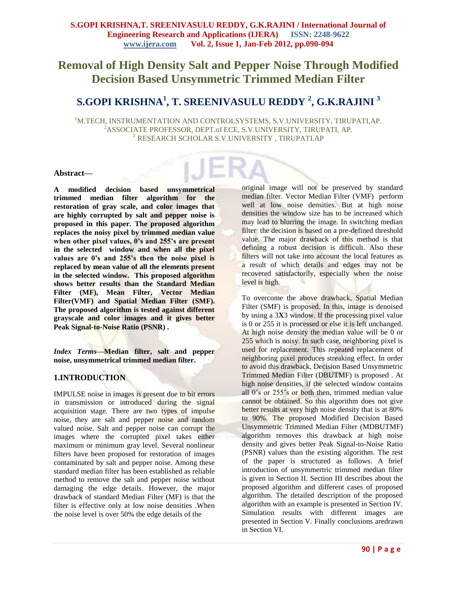# **Removal of High Density Salt and Pepper Noise Through Modified Decision Based Unsymmetric Trimmed Median Filter**

# **S.GOPI KRISHNA<sup>1</sup> , T. SREENIVASULU REDDY <sup>2</sup> , G.K.RAJINI <sup>3</sup>**

<sup>1</sup>M.TECH, INSTRUMENTATION AND CONTROLSYSTEMS, S.V.UNIVERSITY, TIRUPATI,AP. <sup>2</sup>ASSOCIATE PROFESSOR, DEPT.of ECE, S.V.UNIVERSITY, TIRUPATI, AP. <sup>3</sup>RESEARCH SCHOLAR S.V.UNIVERSITY , TIRUPATI.AP

#### **Abstract—**

**A modified decision based unsymmetrical trimmed median filter algorithm for the restoration of gray scale, and color images that are highly corrupted by salt and pepper noise is proposed in this paper. The proposed algorithm replaces the noisy pixel by trimmed median value when other pixel values, 0's and 255's are present in the selected window and when all the pixel values are 0's and 255's then the noise pixel is replaced by mean value of all the elements present in the selected window. This proposed algorithm shows better results than the Standard Median Filter (MF), Mean Filter, Vector Median Filter(VMF) and Spatial Median Filter (SMF). The proposed algorithm is tested against different grayscale and color images and it gives better Peak Signal-to-Noise Ratio (PSNR) .**

*Index Terms—***Median filter, salt and pepper noise, unsymmetrical trimmed median filter.**

## **1.INTRODUCTION**

IMPULSE noise in images is present due to bit errors in transmission or introduced during the signal acquisition stage. There are two types of impulse noise, they are salt and pepper noise and random valued noise. Salt and pepper noise can corrupt the images where the corrupted pixel takes either maximum or minimum gray level. Several nonlinear filters have been proposed for restoration of images contaminated by salt and pepper noise. Among these standard median filter has been established as reliable method to remove the salt and pepper noise without damaging the edge details. However, the major drawback of standard Median Filter (MF) is that the filter is effective only at low noise densities .When the noise level is over 50% the edge details of the

original image will not be preserved by standard median filter. Vector Median Filter (VMF) perform well at low noise densities. But at high noise densities the window size has to be increased which may lead to blurring the image. In switching median filter the decision is based on a pre-defined threshold value. The major drawback of this method is that defining a robust decision is difficult. Also these filters will not take into account the local features as a result of which details and edges may not be recovered satisfactorily, especially when the noise level is high.

To overcome the above drawback, Spatial Median Filter (SMF) is proposed. In this, image is denoised by using a 3**X**3 window. If the processing pixel value is 0 or 255 it is processed or else it is left unchanged. At high noise density the median value will be 0 or 255 which is noisy. In such case, neighboring pixel is used for replacement. This repeated replacement of neighboring pixel produces streaking effect. In order to avoid this drawback, Decision Based Unsymmetric Trimmed Median Filter (DBUTMF) is proposed . At high noise densities, if the selected window contains all 0's or 255's or both then, trimmed median value cannot be obtained. So this algorithm does not give better results at very high noise density that is at 80% to 90%. The proposed Modified Decision Based Unsymmetric Trimmed Median Filter (MDBUTMF) algorithm removes this drawback at high noise density and gives better Peak Signal-to-Noise Ratio (PSNR) values than the existing algorithm. The rest of the paper is structured as follows. A brief introduction of unsymmertric trimmed median filter is given in Section II. Section III describes about the proposed algorithm and different cases of proposed algorithm. The detailed description of the proposed algorithm with an example is presented in Section IV. Simulation results with different images are presented in Section V. Finally conclusions aredrawn in Section VI.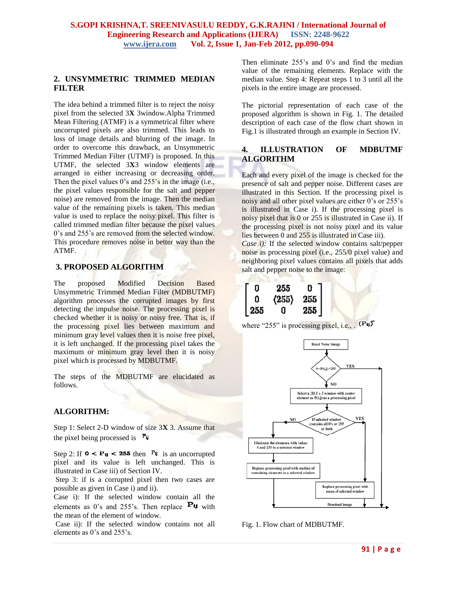## **2. UNSYMMETRIC TRIMMED MEDIAN FILTER**

The idea behind a trimmed filter is to reject the noisy pixel from the selected 3**X** 3window.Alpha Trimmed Mean Filtering (ATMF) is a symmetrical filter where uncorrupted pixels are also trimmed. This leads to loss of image details and blurring of the image. In order to overcome this drawback, an Unsymmetric Trimmed Median Filter (UTMF) is proposed. In this UTMF, the selected 3**X**3 window elements are arranged in either increasing or decreasing order. Then the pixel values 0's and 255's in the image (i.e., the pixel values responsible for the salt and pepper noise) are removed from the image. Then the median value of the remaining pixels is taken. This median value is used to replace the noisy pixel. This filter is called trimmed median filter because the pixel values 0's and 255's are removed from the selected window. This procedure removes noise in better way than the ATMF.

# **3. PROPOSED ALGORITHM**

The proposed Modified Decision Based Unsymmetric Trimmed Median Filter (MDBUTMF) algorithm processes the corrupted images by first detecting the impulse noise. The processing pixel is checked whether it is noisy or noisy free. That is, if the processing pixel lies between maximum and minimum gray level values then it is noise free pixel. it is left unchanged. If the processing pixel takes the maximum or minimum gray level then it is noisy pixel which is processed by MDBUTMF.

The steps of the MDBUTMF are elucidated as follows.

## **ALGORITHM:**

Step 1: Select 2-D window of size 3**X** 3. Assume that the pixel being processed is  $P_{ij}$ 

Step 2: If  $\mathbf{0} < \mathbf{P}_{ij} < 255$  then  $\mathbf{P}_{ij}$  is an uncorrupted pixel and its value is left unchanged. This is illustrated in Case iii) of Section IV.

Step 3: if is a corrupted pixel then two cases are possible as given in Case i) and ii).

Case i): If the selected window contain all the elements as 0's and 255's. Then replace  $P_{\text{H}}$  with the mean of the element of window.

Case ii): If the selected window contains not all elements as 0's and 255's.

Then eliminate  $255$ 's and 0's and find the median value of the remaining elements. Replace with the median value. Step 4: Repeat steps 1 to 3 until all the pixels in the entire image are processed.

The pictorial representation of each case of the proposed algorithm is shown in Fig. 1. The detailed description of each case of the flow chart shown in Fig.1 is illustrated through an example in Section IV.

## **4. ILLUSTRATION OF MDBUTMF ALGORITHM**

Each and every pixel of the image is checked for the presence of salt and pepper noise. Different cases are illustrated in this Section. If the processing pixel is noisy and all other pixel values are either 0's or 255's is illustrated in Case i). If the processing pixel is noisy pixel that is 0 or 255 is illustrated in Case ii). If the processing pixel is not noisy pixel and its value lies between 0 and 255 is illustrated in Case iii).

*Case i):* If the selected window contains salt/pepper noise as processing pixel (i.e., 255/0 pixel value) and neighboring pixel values contains all pixels that adds salt and pepper noise to the image:

| 0                                        | 255                                                                | $\mathbf{0}$ |  |
|------------------------------------------|--------------------------------------------------------------------|--------------|--|
|                                          | $\begin{array}{c} \langle 255\rangle & 255 \\ 0 & 255 \end{array}$ |              |  |
| $\begin{bmatrix} 0 \\ 255 \end{bmatrix}$ |                                                                    |              |  |

where "255" is processing pixel, i.e.,  $(\mathbf{P}_{ij})$ 



Fig. 1. Flow chart of MDBUTMF.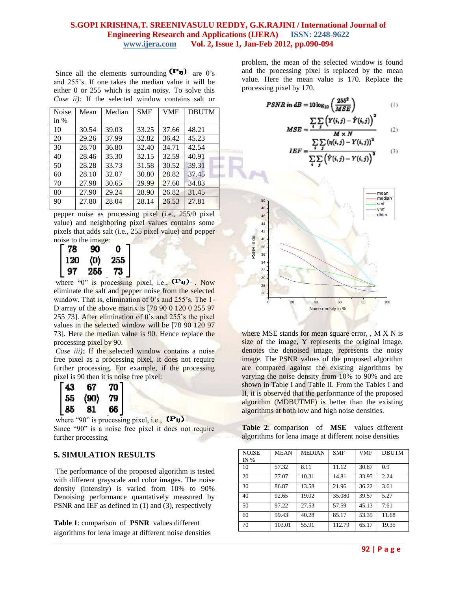#### **S.GOPI KRISHNA,T. SREENIVASULU REDDY, G.K.RAJINI / International Journal of Engineering Research and Applications (IJERA) ISSN: 2248-9622 www.ijera.com Vol. 2, Issue 1, Jan-Feb 2012, pp.090-094**

Since all the elements surrounding  $(\mathbf{P}_{\mathbf{U}})$  are 0's and 255's. If one takes the median value it will be either 0 or 255 which is again noisy. To solve this *Case ii):* If the selected window contains salt or

| Noise  | Mean  | Median | <b>SMF</b> | <b>VMF</b> | <b>DBUTM</b> |
|--------|-------|--------|------------|------------|--------------|
| in $%$ |       |        |            |            |              |
| 10     | 30.54 | 39.03  | 33.25      | 37.66      | 48.21        |
| 20     | 29.26 | 37.99  | 32.82      | 36.42      | 45.23        |
| 30     | 28.70 | 36.80  | 32.40      | 34.71      | 42.54        |
| 40     | 28.46 | 35.30  | 32.15      | 32.59      | 40.91        |
| 50     | 28.28 | 33.73  | 31.58      | 30.52      | 39.31        |
| 60     | 28.10 | 32.07  | 30.80      | 28.82      | 37.45        |
| 70     | 27.98 | 30.65  | 29.99      | 27.60      | 34.83        |
| 80     | 27.90 | 29.24  | 28.90      | 26.82      | 31.45        |
| 90     | 27.80 | 28.04  | 28.14      | 26.53      | 27.81        |
|        |       |        |            |            |              |

pepper noise as processing pixel (i.e., 255/0 pixel value) and neighboring pixel values contains some pixels that adds salt (i.e., 255 pixel value) and pepper noise to the image:

| 78  | 90  |                                                |
|-----|-----|------------------------------------------------|
| 120 | (0) |                                                |
| 97  | 255 | $\begin{bmatrix} 0 \\ 255 \\ 73 \end{bmatrix}$ |

where "0" is processing pixel, i.e.,  $(P_{\mathbf{H}})$ . Now eliminate the salt and pepper noise from the selected window. That is, elimination of 0's and 255's. The 1- D array of the above matrix is [78 90 0 120 0 255 97 255 73]. After elimination of 0's and 255's the pixel values in the selected window will be [78 90 120 97 73]. Here the median value is 90. Hence replace the processing pixel by 90.

*Case iii)*: If the selected window contains a noise free pixel as a processing pixel, it does not require further processing. For example, if the processing pixel is 90 then it is noise free pixel:

| 43 | 67   | 70 <sup>1</sup> |
|----|------|-----------------|
| 55 | (90) | 79.             |
| 85 | 81   | 66.             |

where "90" is processing pixel, i.e.,  $(P_{\mathsf{U}})$ . Since "90" is a noise free pixel it does not require further processing

## **5. SIMULATION RESULTS**

The performance of the proposed algorithm is tested with different grayscale and color images. The noise density (intensity) is varied from 10% to 90% Denoising performance quantatively measured by PSNR and IEF as defined in (1) and (3), respectively

**Table 1**: comparison of **PSNR** values different algorithms for lena image at different noise densities problem, the mean of the selected window is found and the processing pixel is replaced by the mean value. Here the mean value is 170. Replace the processing pixel by 170.

> $PSNR\ in\ dB=10\log_{10}\left(\frac{255^2}{MSE}\right)$  $(1)$

$$
MSE = \frac{\sum_{i} \sum_{j} (Y(i,j) - \hat{Y}(i,j))^{2}}{M \times N}
$$
 (2)

$$
IEF = \frac{\sum_{i} \sum_{j} (\eta(i,j) - Y(i,j))^2}{\sum_{i} \sum_{j} (\hat{Y}(i,j) - Y(i,j))^2}
$$
(3)



where MSE stands for mean square error, , M X N is size of the image, Y represents the original image, denotes the denoised image, represents the noisy image. The PSNR values of the proposed algorithm are compared against the existing algorithms by varying the noise density from 10% to 90% and are shown in Table I and Table II. From the Tables I and II, it is observed that the performance of the proposed algorithm (MDBUTMF) is better than the existing algorithms at both low and high noise densities.

**Table 2**: comparison of **MSE** values different algorithms for lena image at different noise densities

| <b>NOISE</b> | <b>MEAN</b> | <b>MEDIAN</b> | <b>SMF</b> | <b>VMF</b> | <b>DBUTM</b> |
|--------------|-------------|---------------|------------|------------|--------------|
| IN $%$       |             |               |            |            |              |
| 10           | 57.32       | 8.11          | 11.12      | 30.87      | 0.9          |
| 20           | 77.07       | 10.31         | 14.81      | 33.95      | 2.24         |
| 30           | 86.87       | 13.58         | 21.96      | 36.22      | 3.61         |
| 40           | 92.65       | 19.02         | 35.080     | 39.57      | 5.27         |
| 50           | 97.22       | 27.53         | 57.59      | 45.13      | 7.61         |
| 60           | 99.43       | 40.28         | 85.17      | 53.35      | 11.68        |
| 70           | 103.01      | 55.91         | 112.79     | 65.17      | 19.35        |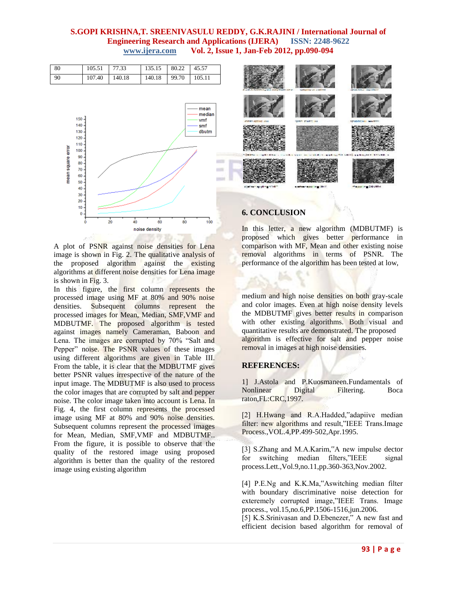## **S.GOPI KRISHNA,T. SREENIVASULU REDDY, G.K.RAJINI / International Journal of Engineering Research and Applications (IJERA) ISSN: 2248-9622 www.ijera.com Vol. 2, Issue 1, Jan-Feb 2012, pp.090-094**

| 80        | 105.51 77.33    | $135.15$ 80.22 45.57    |  |
|-----------|-----------------|-------------------------|--|
| $\mid$ 90 | $107.40$ 140.18 | 140.18   99.70   105.11 |  |



A plot of PSNR against noise densities for Lena image is shown in Fig. 2. The qualitative analysis of the proposed algorithm against the existing algorithms at different noise densities for Lena image is shown in Fig. 3.

In this figure, the first column represents the processed image using MF at 80% and 90% noise densities. Subsequent columns represent the processed images for Mean, Median, SMF,VMF and MDBUTMF. The proposed algorithm is tested against images namely Cameraman, Baboon and Lena. The images are corrupted by 70% "Salt and Pepper" noise. The PSNR values of these images using different algorithms are given in Table III. From the table, it is clear that the MDBUTMF gives better PSNR values irrespective of the nature of the input image. The MDBUTMF is also used to process the color images that are corrupted by salt and pepper noise. The color image taken into account is Lena. In Fig. 4, the first column represents the processed image using MF at 80% and 90% noise densities. Subsequent columns represent the processed images for Mean, Median, SMF,VMF and MDBUTMF.. From the figure, it is possible to observe that the quality of the restored image using proposed algorithm is better than the quality of the restored image using existing algorithm



### **6. CONCLUSION**

In this letter, a new algorithm (MDBUTMF) is proposed which gives better performance in comparison with MF, Mean and other existing noise removal algorithms in terms of PSNR. The performance of the algorithm has been tested at low,

medium and high noise densities on both gray-scale and color images. Even at high noise density levels the MDBUTMF gives better results in comparison with other existing algorithms. Both visual and quantitative results are demonstrated. The proposed algorithm is effective for salt and pepper noise removal in images at high noise densities.

## **REFERENCES:**

1] J.Astola and P.Kuosmaneen.Fundamentals of Nonlinear Digital Filtering. Boca raton,FL:CRC,1997.

[2] H.Hwang and R.A.Hadded,"adapiive median filter: new algorithms and result,"IEEE Trans.Image Process.,VOL.4,PP.499-502,Apr.1995.

[3] S.Zhang and M.A.Karim,"A new impulse dector for switching median filters,"IEEE signal process.Lett.,Vol.9,no.11,pp.360-363,Nov.2002.

[4] P.E.Ng and K.K.Ma,"Aswitching median filter with boundary discriminative noise detection for exteremely corrupted image,"IEEE Trans. Image process., vol.15,no.6,PP.1506-1516,jun.2006.

[5] K.S.Srinivasan and D.Ebenezer," A new fast and efficient decision based algorithm for removal of